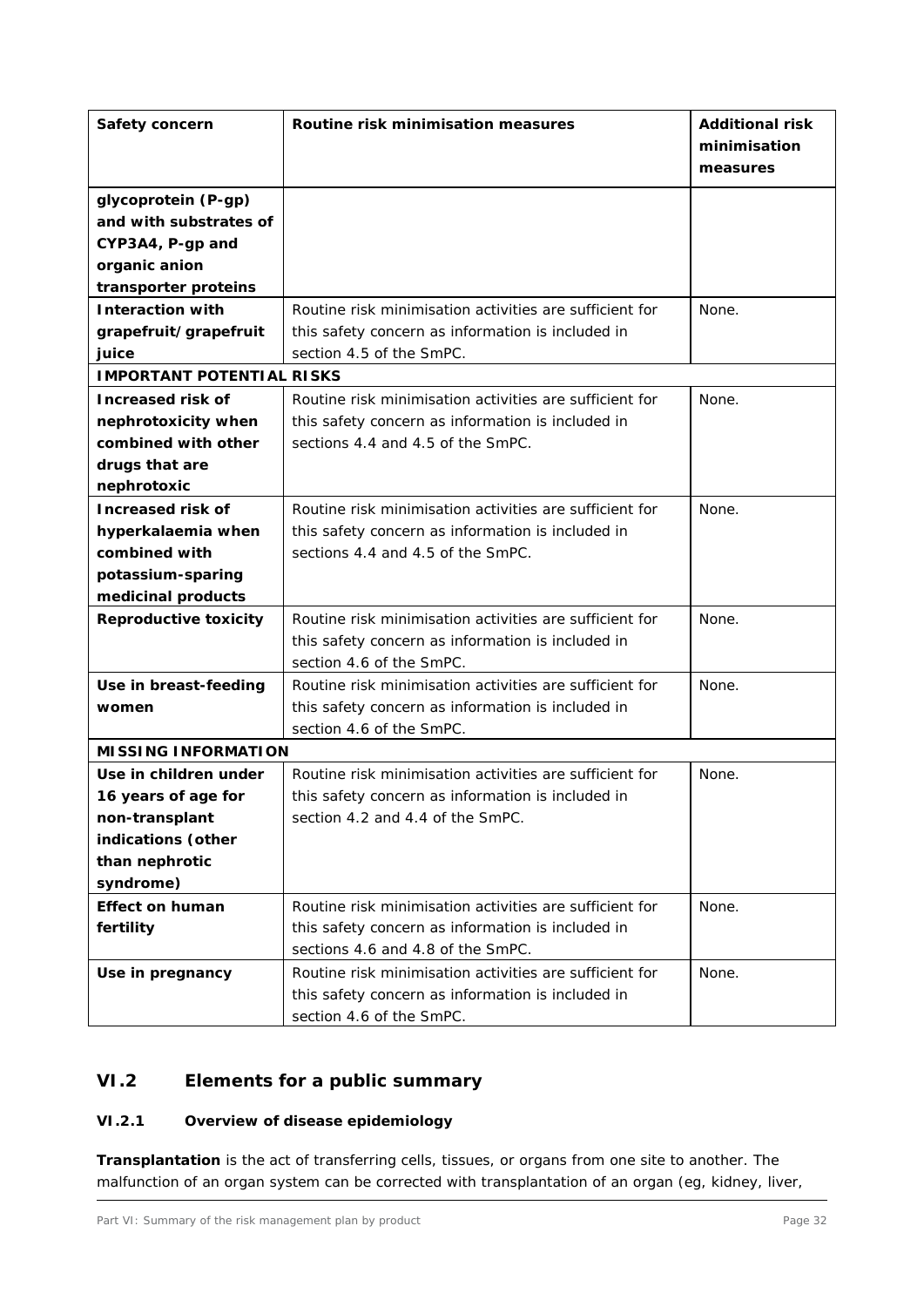### **VI.2 Elements for a public summary**

#### *VI.2.1 Overview of disease epidemiology*

**Transplantation** is the act of transferring cells, tissues, or organs from one site to another. The malfunction of an organ system can be corrected with transplantation of an organ (eg, kidney, liver,

Part VI: Summary of the risk management plan by product Page 32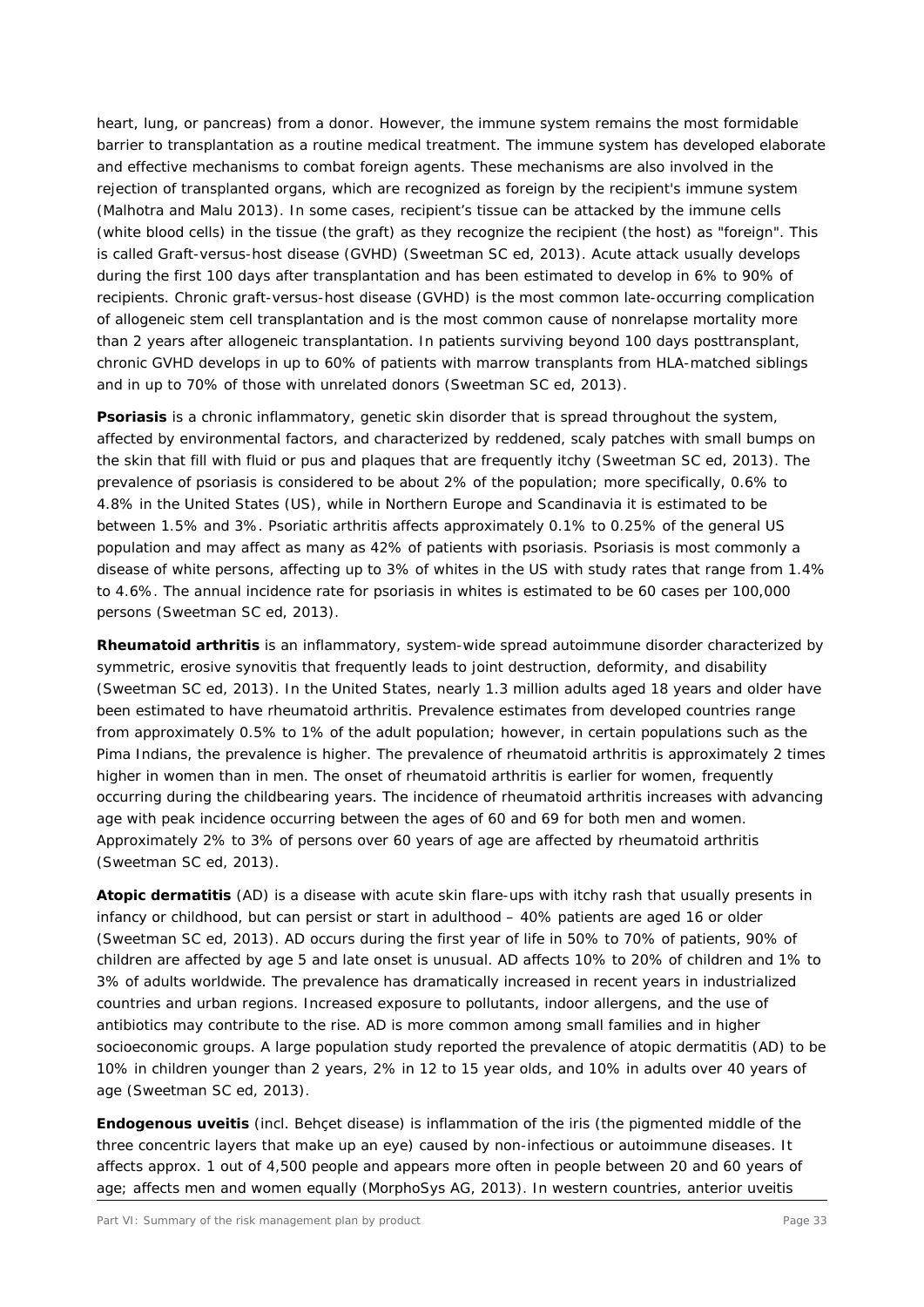heart, lung, or pancreas) from a donor. However, the immune system remains the most formidable barrier to transplantation as a routine medical treatment. The immune system has developed elaborate and effective mechanisms to combat foreign agents. These mechanisms are also involved in the rejection of transplanted organs, which are recognized as foreign by the recipient's immune system (Malhotra and Malu 2013). In some cases, recipient's tissue can be attacked by the immune cells (white blood cells) in the tissue (the graft) as they recognize the recipient (the host) as "foreign". This is called Graft-versus-host disease (GVHD) (Sweetman SC ed, 2013). Acute attack usually develops during the first 100 days after transplantation and has been estimated to develop in 6% to 90% of recipients. Chronic graft-versus-host disease (GVHD) is the most common late-occurring complication of allogeneic stem cell transplantation and is the most common cause of nonrelapse mortality more than 2 years after allogeneic transplantation. In patients surviving beyond 100 days posttransplant, chronic GVHD develops in up to 60% of patients with marrow transplants from HLA-matched siblings and in up to 70% of those with unrelated donors (Sweetman SC ed, 2013).

**Psoriasis** is a chronic inflammatory, genetic skin disorder that is spread throughout the system, affected by environmental factors, and characterized by reddened, scaly patches with small bumps on the skin that fill with fluid or pus and plaques that are frequently itchy (Sweetman SC ed, 2013). The prevalence of psoriasis is considered to be about 2% of the population; more specifically, 0.6% to 4.8% in the United States (US), while in Northern Europe and Scandinavia it is estimated to be between 1.5% and 3%. Psoriatic arthritis affects approximately 0.1% to 0.25% of the general US population and may affect as many as 42% of patients with psoriasis. Psoriasis is most commonly a disease of white persons, affecting up to 3% of whites in the US with study rates that range from 1.4% to 4.6%. The annual incidence rate for psoriasis in whites is estimated to be 60 cases per 100,000 persons (Sweetman SC ed, 2013).

**Rheumatoid arthritis** is an inflammatory, system-wide spread autoimmune disorder characterized by symmetric, erosive synovitis that frequently leads to joint destruction, deformity, and disability (Sweetman SC ed, 2013). In the United States, nearly 1.3 million adults aged 18 years and older have been estimated to have rheumatoid arthritis. Prevalence estimates from developed countries range from approximately 0.5% to 1% of the adult population; however, in certain populations such as the Pima Indians, the prevalence is higher. The prevalence of rheumatoid arthritis is approximately 2 times higher in women than in men. The onset of rheumatoid arthritis is earlier for women, frequently occurring during the childbearing years. The incidence of rheumatoid arthritis increases with advancing age with peak incidence occurring between the ages of 60 and 69 for both men and women. Approximately 2% to 3% of persons over 60 years of age are affected by rheumatoid arthritis (Sweetman SC ed, 2013).

**Atopic dermatitis** (AD) is a disease with acute skin flare-ups with itchy rash that usually presents in infancy or childhood, but can persist or start in adulthood – 40% patients are aged 16 or older (Sweetman SC ed, 2013). AD occurs during the first year of life in 50% to 70% of patients, 90% of children are affected by age 5 and late onset is unusual. AD affects 10% to 20% of children and 1% to 3% of adults worldwide. The prevalence has dramatically increased in recent years in industrialized countries and urban regions. Increased exposure to pollutants, indoor allergens, and the use of antibiotics may contribute to the rise. AD is more common among small families and in higher socioeconomic groups. A large population study reported the prevalence of atopic dermatitis (AD) to be 10% in children younger than 2 years, 2% in 12 to 15 year olds, and 10% in adults over 40 years of age (Sweetman SC ed, 2013).

**Endogenous uveitis** (incl. Behçet disease) is inflammation of the iris (the pigmented middle of the three concentric layers that make up an eye) caused by non-infectious or autoimmune diseases. It affects approx. 1 out of 4,500 people and appears more often in people between 20 and 60 years of age; affects men and women equally (MorphoSys AG, 2013). In western countries, anterior uveitis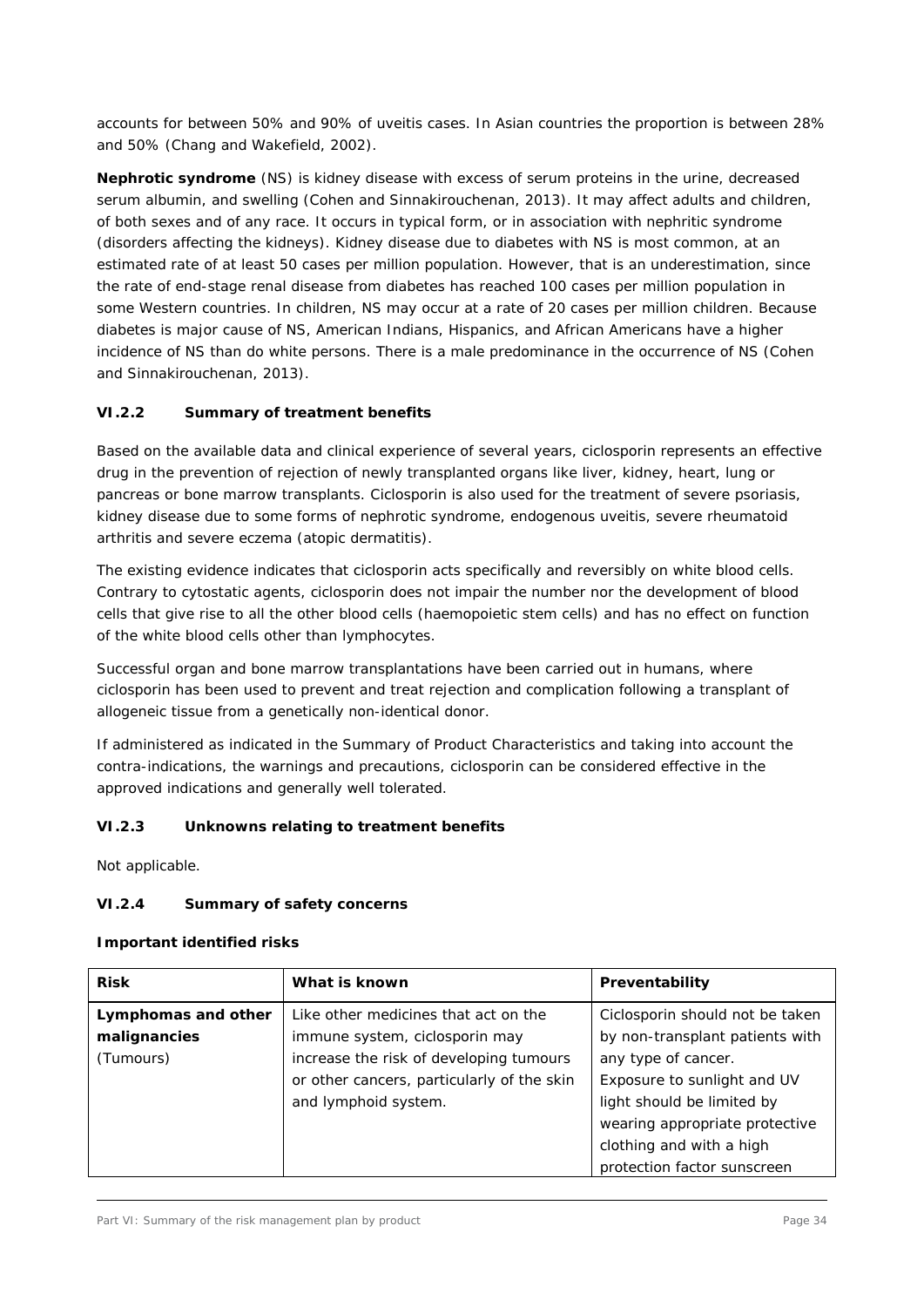accounts for between 50% and 90% of uveitis cases. In Asian countries the proportion is between 28% and 50% (Chang and Wakefield, 2002).

**Nephrotic syndrome** (NS) is kidney disease with excess of serum proteins in the urine, decreased serum albumin, and swelling (Cohen and Sinnakirouchenan, 2013). It may affect adults and children, of both sexes and of any race. It occurs in typical form, or in association with nephritic syndrome (disorders affecting the kidneys). Kidney disease due to diabetes with NS is most common, at an estimated rate of at least 50 cases per million population. However, that is an underestimation, since the rate of end-stage renal disease from diabetes has reached 100 cases per million population in some Western countries. In children, NS may occur at a rate of 20 cases per million children. Because diabetes is major cause of NS, American Indians, Hispanics, and African Americans have a higher incidence of NS than do white persons. There is a male predominance in the occurrence of NS (Cohen and Sinnakirouchenan, 2013).

# *VI.2.2 Summary of treatment benefits*

Based on the available data and clinical experience of several years, ciclosporin represents an effective drug in the prevention of rejection of newly transplanted organs like liver, kidney, heart, lung or pancreas or bone marrow transplants. Ciclosporin is also used for the treatment of severe psoriasis, kidney disease due to some forms of nephrotic syndrome, endogenous uveitis, severe rheumatoid arthritis and severe eczema (atopic dermatitis).

The existing evidence indicates that ciclosporin acts specifically and reversibly on white blood cells. Contrary to cytostatic agents, ciclosporin does not impair the number nor the development of blood cells that give rise to all the other blood cells (haemopoietic stem cells) and has no effect on function of the white blood cells other than lymphocytes.

Successful organ and bone marrow transplantations have been carried out in humans, where ciclosporin has been used to prevent and treat rejection and complication following a transplant of allogeneic tissue from a genetically non-identical donor.

If administered as indicated in the Summary of Product Characteristics and taking into account the contra-indications, the warnings and precautions, ciclosporin can be considered effective in the approved indications and generally well tolerated.

### *VI.2.3 Unknowns relating to treatment benefits*

Not applicable.

### *VI.2.4 Summary of safety concerns*

#### **Important identified risks**

| <b>Risk</b>                         | What is known                                                                                                 | Preventability                                                                                                                                                                |  |
|-------------------------------------|---------------------------------------------------------------------------------------------------------------|-------------------------------------------------------------------------------------------------------------------------------------------------------------------------------|--|
| Lymphomas and other<br>malignancies | Like other medicines that act on the<br>immune system, ciclosporin may                                        | Ciclosporin should not be taken<br>by non-transplant patients with                                                                                                            |  |
| (Tumours)                           | increase the risk of developing tumours<br>or other cancers, particularly of the skin<br>and lymphoid system. | any type of cancer.<br>Exposure to sunlight and UV<br>light should be limited by<br>wearing appropriate protective<br>clothing and with a high<br>protection factor sunscreen |  |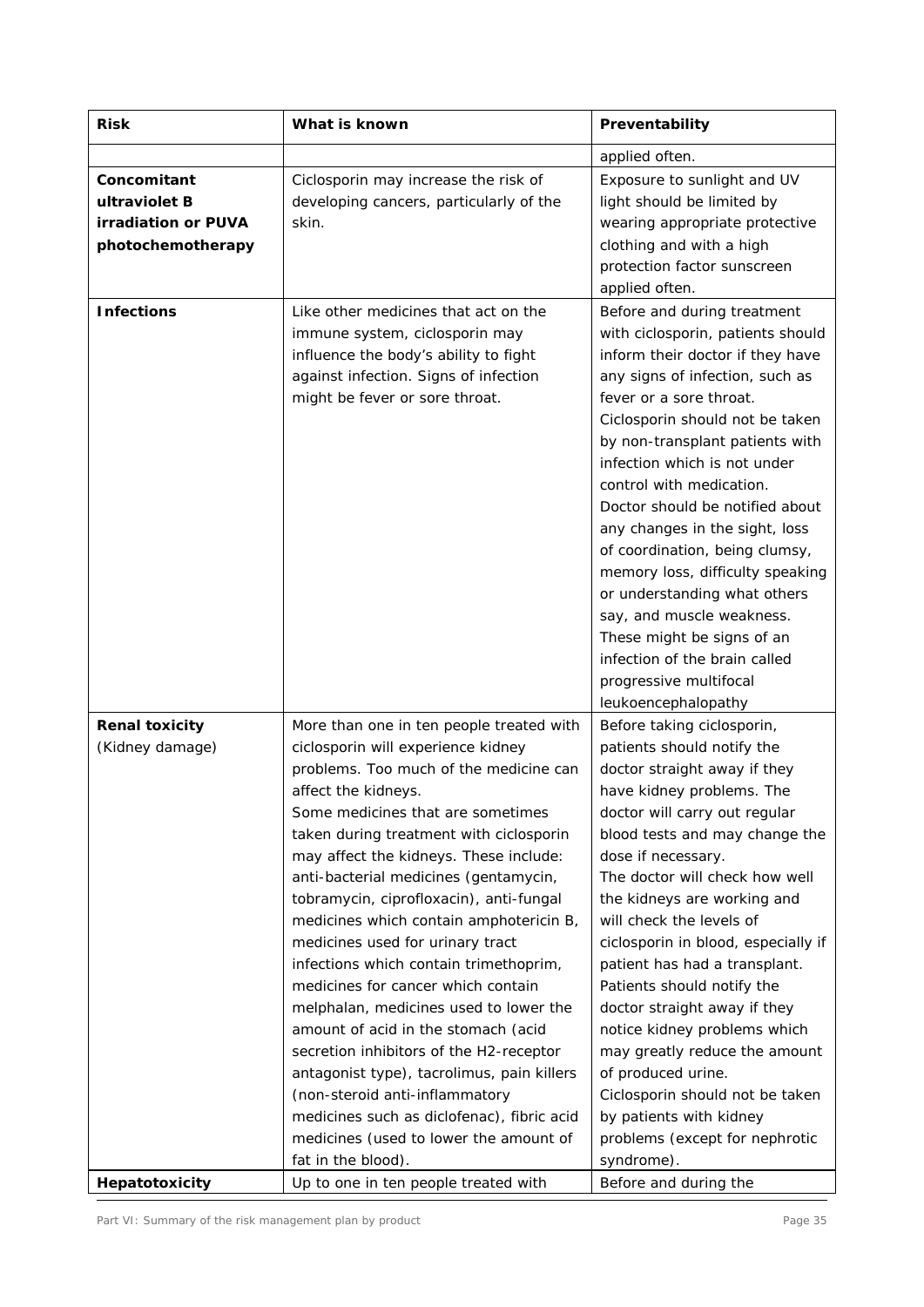| <b>Risk</b>                                                              | What is known                                                                                                                                                                                                                                                                                                                                                                                                                                                                                                                                                                                                                                                                                                                                                                          | Preventability                                                                                                                                                                                                                                                                                                                                                                                                                                                                                                                                                                                                          |  |
|--------------------------------------------------------------------------|----------------------------------------------------------------------------------------------------------------------------------------------------------------------------------------------------------------------------------------------------------------------------------------------------------------------------------------------------------------------------------------------------------------------------------------------------------------------------------------------------------------------------------------------------------------------------------------------------------------------------------------------------------------------------------------------------------------------------------------------------------------------------------------|-------------------------------------------------------------------------------------------------------------------------------------------------------------------------------------------------------------------------------------------------------------------------------------------------------------------------------------------------------------------------------------------------------------------------------------------------------------------------------------------------------------------------------------------------------------------------------------------------------------------------|--|
|                                                                          |                                                                                                                                                                                                                                                                                                                                                                                                                                                                                                                                                                                                                                                                                                                                                                                        | applied often.                                                                                                                                                                                                                                                                                                                                                                                                                                                                                                                                                                                                          |  |
| Concomitant<br>ultraviolet B<br>irradiation or PUVA<br>photochemotherapy | Ciclosporin may increase the risk of<br>developing cancers, particularly of the<br>skin.                                                                                                                                                                                                                                                                                                                                                                                                                                                                                                                                                                                                                                                                                               | Exposure to sunlight and UV<br>light should be limited by<br>wearing appropriate protective<br>clothing and with a high<br>protection factor sunscreen                                                                                                                                                                                                                                                                                                                                                                                                                                                                  |  |
| <b>Infections</b>                                                        | Like other medicines that act on the<br>immune system, ciclosporin may<br>influence the body's ability to fight<br>against infection. Signs of infection<br>might be fever or sore throat.                                                                                                                                                                                                                                                                                                                                                                                                                                                                                                                                                                                             | applied often.<br>Before and during treatment<br>with ciclosporin, patients should<br>inform their doctor if they have<br>any signs of infection, such as<br>fever or a sore throat.<br>Ciclosporin should not be taken<br>by non-transplant patients with<br>infection which is not under<br>control with medication.<br>Doctor should be notified about<br>any changes in the sight, loss<br>of coordination, being clumsy,<br>memory loss, difficulty speaking<br>or understanding what others<br>say, and muscle weakness.<br>These might be signs of an<br>infection of the brain called<br>progressive multifocal |  |
| <b>Renal toxicity</b><br>(Kidney damage)                                 | More than one in ten people treated with<br>ciclosporin will experience kidney<br>problems. Too much of the medicine can<br>affect the kidneys.<br>Some medicines that are sometimes<br>taken during treatment with ciclosporin<br>may affect the kidneys. These include:<br>anti-bacterial medicines (gentamycin,<br>tobramycin, ciprofloxacin), anti-fungal<br>medicines which contain amphotericin B,<br>medicines used for urinary tract<br>infections which contain trimethoprim,<br>medicines for cancer which contain<br>melphalan, medicines used to lower the<br>amount of acid in the stomach (acid<br>secretion inhibitors of the H2-receptor<br>antagonist type), tacrolimus, pain killers<br>(non-steroid anti-inflammatory<br>medicines such as diclofenac), fibric acid | Before taking ciclosporin,<br>patients should notify the<br>doctor straight away if they<br>have kidney problems. The<br>doctor will carry out regular<br>blood tests and may change the<br>dose if necessary.<br>The doctor will check how well<br>the kidneys are working and<br>will check the levels of<br>ciclosporin in blood, especially if<br>patient has had a transplant.<br>Patients should notify the<br>doctor straight away if they<br>notice kidney problems which<br>may greatly reduce the amount<br>of produced urine.<br>Ciclosporin should not be taken<br>by patients with kidney                  |  |
| <b>Hepatotoxicity</b>                                                    | medicines (used to lower the amount of<br>fat in the blood).<br>Up to one in ten people treated with                                                                                                                                                                                                                                                                                                                                                                                                                                                                                                                                                                                                                                                                                   | problems (except for nephrotic<br>syndrome).<br>Before and during the                                                                                                                                                                                                                                                                                                                                                                                                                                                                                                                                                   |  |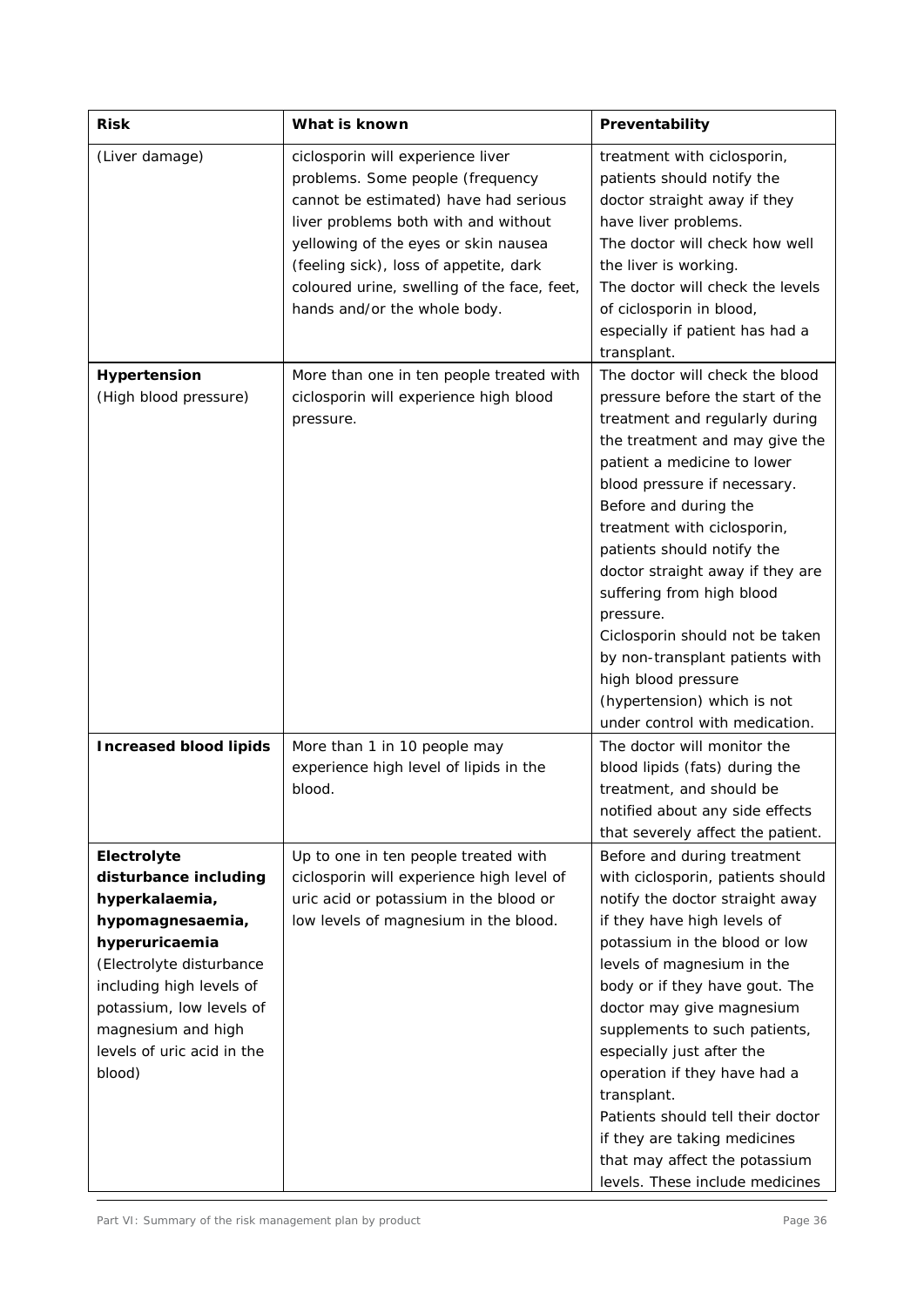| <b>Risk</b>                                                                                                                                                                                                                                    | What is known                                                                                                                                                                                                                                                                                                           | Preventability                                                                                                                                                                                                                                                                                                                                                                                                                                                                                                                           |  |
|------------------------------------------------------------------------------------------------------------------------------------------------------------------------------------------------------------------------------------------------|-------------------------------------------------------------------------------------------------------------------------------------------------------------------------------------------------------------------------------------------------------------------------------------------------------------------------|------------------------------------------------------------------------------------------------------------------------------------------------------------------------------------------------------------------------------------------------------------------------------------------------------------------------------------------------------------------------------------------------------------------------------------------------------------------------------------------------------------------------------------------|--|
| (Liver damage)                                                                                                                                                                                                                                 | ciclosporin will experience liver<br>problems. Some people (frequency<br>cannot be estimated) have had serious<br>liver problems both with and without<br>yellowing of the eyes or skin nausea<br>(feeling sick), loss of appetite, dark<br>coloured urine, swelling of the face, feet,<br>hands and/or the whole body. | treatment with ciclosporin,<br>patients should notify the<br>doctor straight away if they<br>have liver problems.<br>The doctor will check how well<br>the liver is working.<br>The doctor will check the levels<br>of ciclosporin in blood,<br>especially if patient has had a<br>transplant.                                                                                                                                                                                                                                           |  |
| Hypertension<br>(High blood pressure)                                                                                                                                                                                                          | More than one in ten people treated with<br>ciclosporin will experience high blood<br>pressure.                                                                                                                                                                                                                         | The doctor will check the blood<br>pressure before the start of the<br>treatment and regularly during<br>the treatment and may give the<br>patient a medicine to lower<br>blood pressure if necessary.<br>Before and during the<br>treatment with ciclosporin,<br>patients should notify the<br>doctor straight away if they are<br>suffering from high blood<br>pressure.<br>Ciclosporin should not be taken<br>by non-transplant patients with<br>high blood pressure<br>(hypertension) which is not<br>under control with medication. |  |
| <b>Increased blood lipids</b>                                                                                                                                                                                                                  | More than 1 in 10 people may<br>experience high level of lipids in the<br>blood.                                                                                                                                                                                                                                        | The doctor will monitor the<br>blood lipids (fats) during the<br>treatment, and should be<br>notified about any side effects<br>that severely affect the patient.                                                                                                                                                                                                                                                                                                                                                                        |  |
| Electrolyte<br>disturbance including<br>hyperkalaemia,<br>hypomagnesaemia,<br>hyperuricaemia<br>(Electrolyte disturbance<br>including high levels of<br>potassium, low levels of<br>magnesium and high<br>levels of uric acid in the<br>blood) | Up to one in ten people treated with<br>ciclosporin will experience high level of<br>uric acid or potassium in the blood or<br>low levels of magnesium in the blood.                                                                                                                                                    | Before and during treatment<br>with ciclosporin, patients should<br>notify the doctor straight away<br>if they have high levels of<br>potassium in the blood or low<br>levels of magnesium in the<br>body or if they have gout. The<br>doctor may give magnesium<br>supplements to such patients,<br>especially just after the<br>operation if they have had a<br>transplant.<br>Patients should tell their doctor<br>if they are taking medicines<br>that may affect the potassium<br>levels. These include medicines                   |  |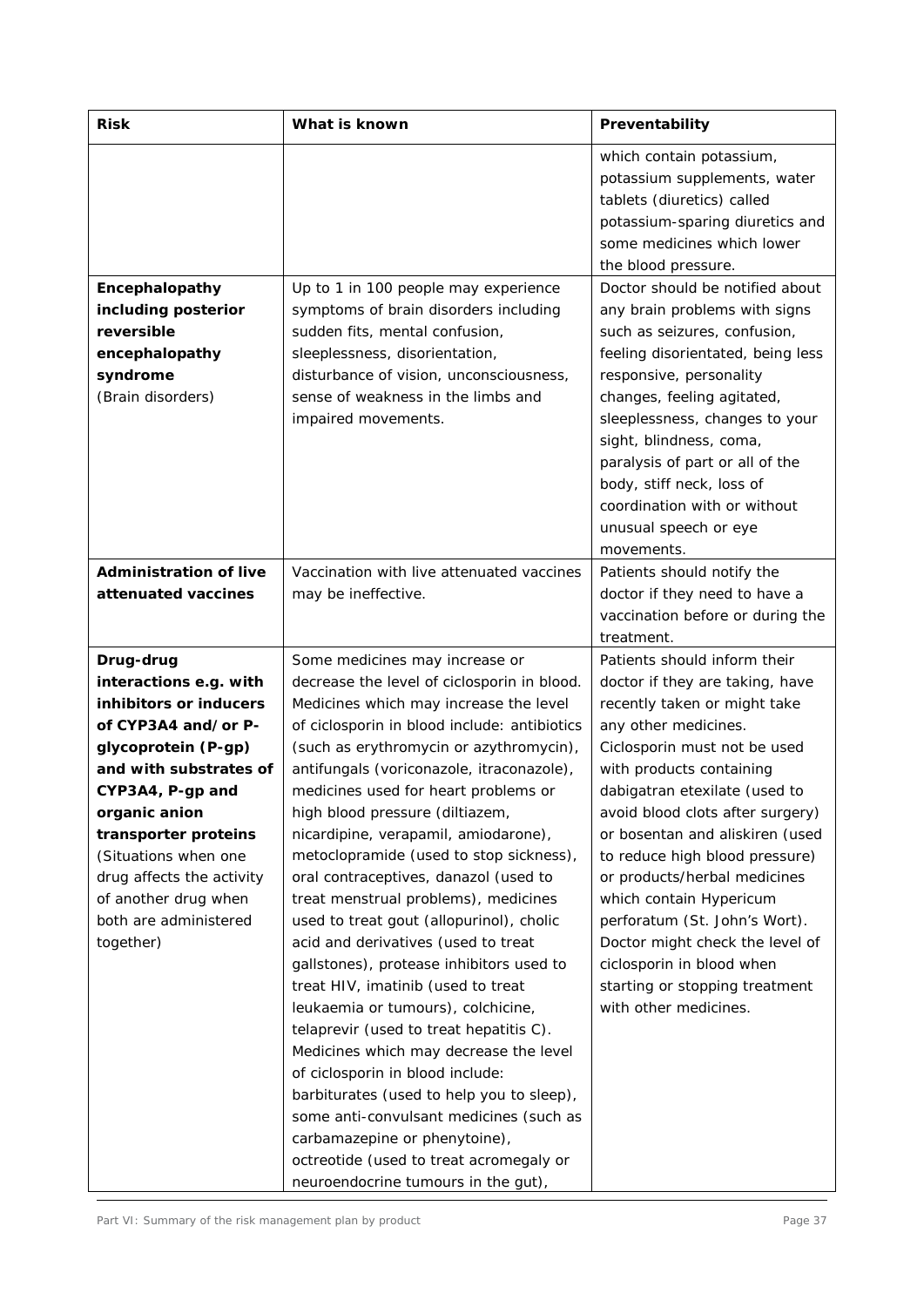| <b>Risk</b>                                                                                                                                                                                                                                                                                                           | What is known                                                                                                                                                                                                                                                                                                                                                                                                                                                                                                                                                                                                                                                                                                                                                                                                                                                                                                                                                                                                                                                 | Preventability                                                                                                                                                                                                                                                                                                                                                                                                                                                                                                                                       |
|-----------------------------------------------------------------------------------------------------------------------------------------------------------------------------------------------------------------------------------------------------------------------------------------------------------------------|---------------------------------------------------------------------------------------------------------------------------------------------------------------------------------------------------------------------------------------------------------------------------------------------------------------------------------------------------------------------------------------------------------------------------------------------------------------------------------------------------------------------------------------------------------------------------------------------------------------------------------------------------------------------------------------------------------------------------------------------------------------------------------------------------------------------------------------------------------------------------------------------------------------------------------------------------------------------------------------------------------------------------------------------------------------|------------------------------------------------------------------------------------------------------------------------------------------------------------------------------------------------------------------------------------------------------------------------------------------------------------------------------------------------------------------------------------------------------------------------------------------------------------------------------------------------------------------------------------------------------|
|                                                                                                                                                                                                                                                                                                                       |                                                                                                                                                                                                                                                                                                                                                                                                                                                                                                                                                                                                                                                                                                                                                                                                                                                                                                                                                                                                                                                               | which contain potassium,<br>potassium supplements, water<br>tablets (diuretics) called<br>potassium-sparing diuretics and<br>some medicines which lower<br>the blood pressure.                                                                                                                                                                                                                                                                                                                                                                       |
| Encephalopathy<br>including posterior<br>reversible<br>encephalopathy<br>syndrome<br>(Brain disorders)                                                                                                                                                                                                                | Up to 1 in 100 people may experience<br>symptoms of brain disorders including<br>sudden fits, mental confusion,<br>sleeplessness, disorientation,<br>disturbance of vision, unconsciousness,<br>sense of weakness in the limbs and<br>impaired movements.                                                                                                                                                                                                                                                                                                                                                                                                                                                                                                                                                                                                                                                                                                                                                                                                     | Doctor should be notified about<br>any brain problems with signs<br>such as seizures, confusion,<br>feeling disorientated, being less<br>responsive, personality<br>changes, feeling agitated,<br>sleeplessness, changes to your<br>sight, blindness, coma,<br>paralysis of part or all of the<br>body, stiff neck, loss of<br>coordination with or without<br>unusual speech or eye<br>movements.                                                                                                                                                   |
| <b>Administration of live</b><br>attenuated vaccines                                                                                                                                                                                                                                                                  | Vaccination with live attenuated vaccines<br>may be ineffective.                                                                                                                                                                                                                                                                                                                                                                                                                                                                                                                                                                                                                                                                                                                                                                                                                                                                                                                                                                                              | Patients should notify the<br>doctor if they need to have a<br>vaccination before or during the<br>treatment.                                                                                                                                                                                                                                                                                                                                                                                                                                        |
| Drug-drug<br>interactions e.g. with<br>inhibitors or inducers<br>of CYP3A4 and/or P-<br>glycoprotein (P-gp)<br>and with substrates of<br>CYP3A4, P-gp and<br>organic anion<br>transporter proteins<br>(Situations when one<br>drug affects the activity<br>of another drug when<br>both are administered<br>together) | Some medicines may increase or<br>decrease the level of ciclosporin in blood.<br>Medicines which may increase the level<br>of ciclosporin in blood include: antibiotics<br>(such as erythromycin or azythromycin),<br>antifungals (voriconazole, itraconazole),<br>medicines used for heart problems or<br>high blood pressure (diltiazem,<br>nicardipine, verapamil, amiodarone),<br>metoclopramide (used to stop sickness),<br>oral contraceptives, danazol (used to<br>treat menstrual problems), medicines<br>used to treat gout (allopurinol), cholic<br>acid and derivatives (used to treat<br>gallstones), protease inhibitors used to<br>treat HIV, imatinib (used to treat<br>leukaemia or tumours), colchicine,<br>telaprevir (used to treat hepatitis C).<br>Medicines which may decrease the level<br>of ciclosporin in blood include:<br>barbiturates (used to help you to sleep),<br>some anti-convulsant medicines (such as<br>carbamazepine or phenytoine),<br>octreotide (used to treat acromegaly or<br>neuroendocrine tumours in the gut), | Patients should inform their<br>doctor if they are taking, have<br>recently taken or might take<br>any other medicines.<br>Ciclosporin must not be used<br>with products containing<br>dabigatran etexilate (used to<br>avoid blood clots after surgery)<br>or bosentan and aliskiren (used<br>to reduce high blood pressure)<br>or products/herbal medicines<br>which contain Hypericum<br>perforatum (St. John's Wort).<br>Doctor might check the level of<br>ciclosporin in blood when<br>starting or stopping treatment<br>with other medicines. |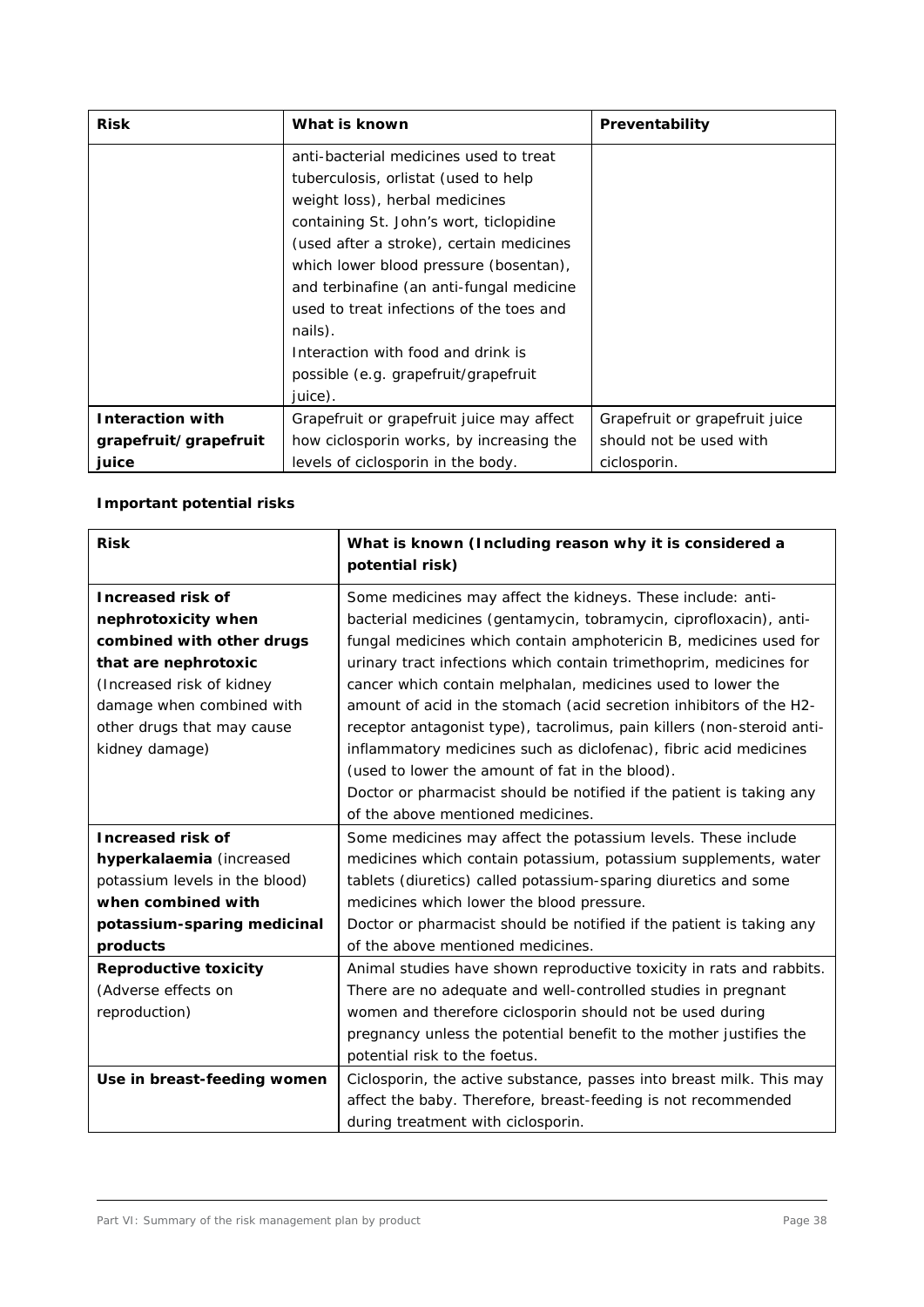| <b>Risk</b>             | What is known                             | Preventability                 |
|-------------------------|-------------------------------------------|--------------------------------|
|                         | anti-bacterial medicines used to treat    |                                |
|                         | tuberculosis, orlistat (used to help      |                                |
|                         | weight loss), herbal medicines            |                                |
|                         | containing St. John's wort, ticlopidine   |                                |
|                         | (used after a stroke), certain medicines  |                                |
|                         | which lower blood pressure (bosentan),    |                                |
|                         | and terbinafine (an anti-fungal medicine  |                                |
|                         | used to treat infections of the toes and  |                                |
|                         | nails).                                   |                                |
|                         | Interaction with food and drink is        |                                |
|                         | possible (e.g. grapefruit/grapefruit      |                                |
|                         | juice).                                   |                                |
| <b>Interaction with</b> | Grapefruit or grapefruit juice may affect | Grapefruit or grapefruit juice |
| grapefruit/grapefruit   | how ciclosporin works, by increasing the  | should not be used with        |
| juice                   | levels of ciclosporin in the body.        | ciclosporin.                   |

## **Important potential risks**

| <b>Risk</b>                    | What is known (Including reason why it is considered a<br>potential risk) |
|--------------------------------|---------------------------------------------------------------------------|
| <b>Increased risk of</b>       | Some medicines may affect the kidneys. These include: anti-               |
| nephrotoxicity when            | bacterial medicines (gentamycin, tobramycin, ciprofloxacin), anti-        |
| combined with other drugs      | fungal medicines which contain amphotericin B, medicines used for         |
| that are nephrotoxic           | urinary tract infections which contain trimethoprim, medicines for        |
| (Increased risk of kidney      | cancer which contain melphalan, medicines used to lower the               |
| damage when combined with      | amount of acid in the stomach (acid secretion inhibitors of the H2-       |
| other drugs that may cause     | receptor antagonist type), tacrolimus, pain killers (non-steroid anti-    |
| kidney damage)                 | inflammatory medicines such as diclofenac), fibric acid medicines         |
|                                | (used to lower the amount of fat in the blood).                           |
|                                | Doctor or pharmacist should be notified if the patient is taking any      |
|                                | of the above mentioned medicines.                                         |
| <b>Increased risk of</b>       | Some medicines may affect the potassium levels. These include             |
| hyperkalaemia (increased       | medicines which contain potassium, potassium supplements, water           |
| potassium levels in the blood) | tablets (diuretics) called potassium-sparing diuretics and some           |
| when combined with             | medicines which lower the blood pressure.                                 |
| potassium-sparing medicinal    | Doctor or pharmacist should be notified if the patient is taking any      |
| products                       | of the above mentioned medicines.                                         |
| <b>Reproductive toxicity</b>   | Animal studies have shown reproductive toxicity in rats and rabbits.      |
| (Adverse effects on            | There are no adequate and well-controlled studies in pregnant             |
| reproduction)                  | women and therefore ciclosporin should not be used during                 |
|                                | pregnancy unless the potential benefit to the mother justifies the        |
|                                | potential risk to the foetus.                                             |
| Use in breast-feeding women    | Ciclosporin, the active substance, passes into breast milk. This may      |
|                                | affect the baby. Therefore, breast-feeding is not recommended             |
|                                | during treatment with ciclosporin.                                        |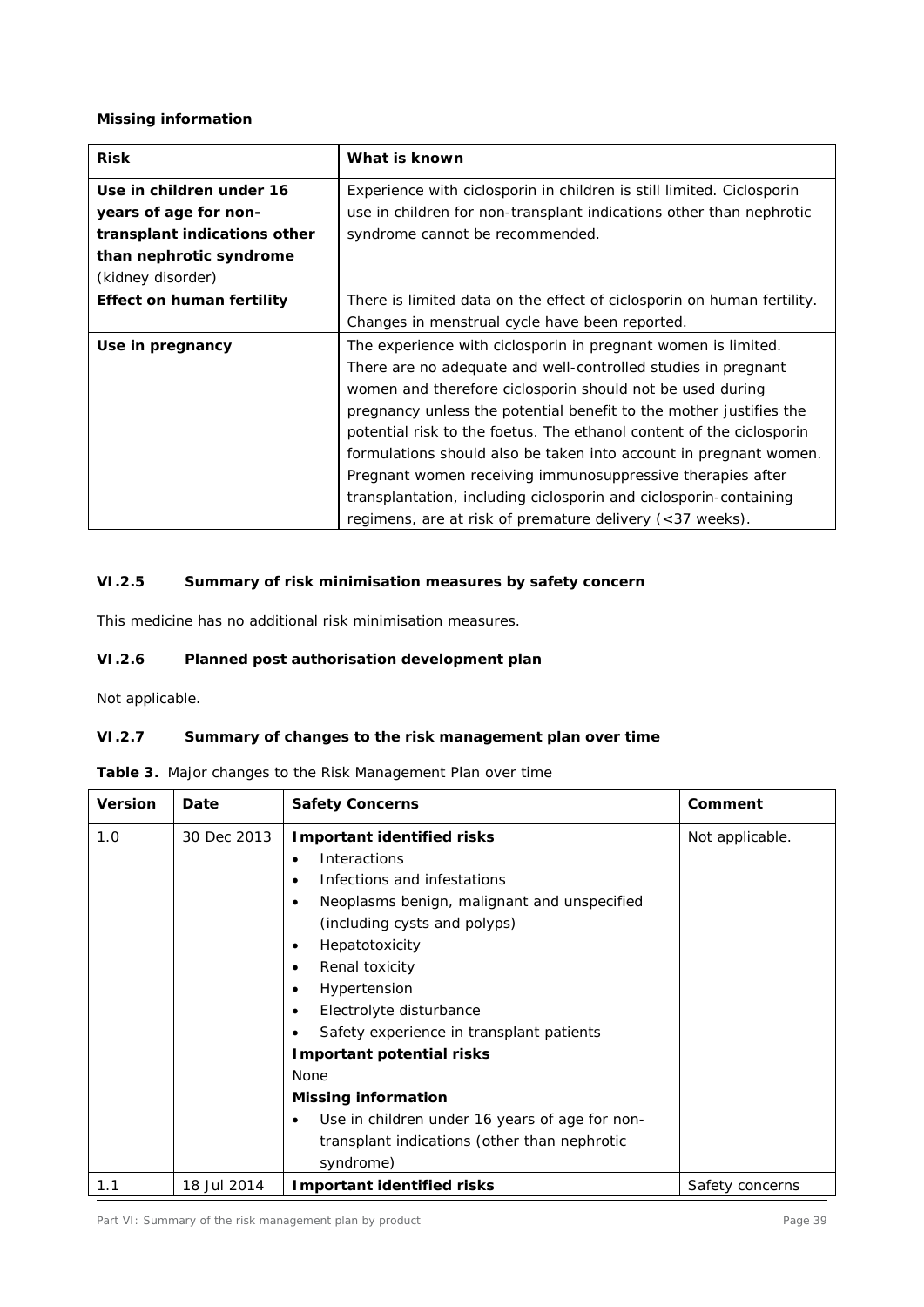#### **Missing information**

| <b>Risk</b>                      | What is known                                                          |  |
|----------------------------------|------------------------------------------------------------------------|--|
| Use in children under 16         | Experience with ciclosporin in children is still limited. Ciclosporin  |  |
| years of age for non-            | use in children for non-transplant indications other than nephrotic    |  |
| transplant indications other     | syndrome cannot be recommended.                                        |  |
| than nephrotic syndrome          |                                                                        |  |
| (kidney disorder)                |                                                                        |  |
| <b>Effect on human fertility</b> | There is limited data on the effect of ciclosporin on human fertility. |  |
|                                  | Changes in menstrual cycle have been reported.                         |  |
| Use in pregnancy                 | The experience with ciclosporin in pregnant women is limited.          |  |
|                                  | There are no adequate and well-controlled studies in pregnant          |  |
|                                  | women and therefore ciclosporin should not be used during              |  |
|                                  | pregnancy unless the potential benefit to the mother justifies the     |  |
|                                  | potential risk to the foetus. The ethanol content of the ciclosporin   |  |
|                                  | formulations should also be taken into account in pregnant women.      |  |
|                                  | Pregnant women receiving immunosuppressive therapies after             |  |
|                                  | transplantation, including ciclosporin and ciclosporin-containing      |  |
|                                  | regimens, are at risk of premature delivery (<37 weeks).               |  |

## *VI.2.5 Summary of risk minimisation measures by safety concern*

This medicine has no additional risk minimisation measures.

## *VI.2.6 Planned post authorisation development plan*

Not applicable.

# *VI.2.7 Summary of changes to the risk management plan over time*

|  |  | Table 3. Major changes to the Risk Management Plan over time |  |  |
|--|--|--------------------------------------------------------------|--|--|
|  |  |                                                              |  |  |

| <b>Version</b> | Date        | <b>Safety Concerns</b>                                                                                                                                                                                                                                                                                                                                                                                                                                                                                               | Comment         |
|----------------|-------------|----------------------------------------------------------------------------------------------------------------------------------------------------------------------------------------------------------------------------------------------------------------------------------------------------------------------------------------------------------------------------------------------------------------------------------------------------------------------------------------------------------------------|-----------------|
| 1.0            | 30 Dec 2013 | Important identified risks<br>Interactions<br>٠<br>Infections and infestations<br>Neoplasms benign, malignant and unspecified<br>٠<br>(including cysts and polyps)<br>Hepatotoxicity<br>٠<br>Renal toxicity<br>٠<br>Hypertension<br>٠<br>Electrolyte disturbance<br>٠<br>Safety experience in transplant patients<br>٠<br><b>Important potential risks</b><br>None<br><b>Missing information</b><br>Use in children under 16 years of age for non-<br>٠<br>transplant indications (other than nephrotic<br>syndrome) | Not applicable. |
| 1.1            | 18 Jul 2014 | Important identified risks                                                                                                                                                                                                                                                                                                                                                                                                                                                                                           | Safety concerns |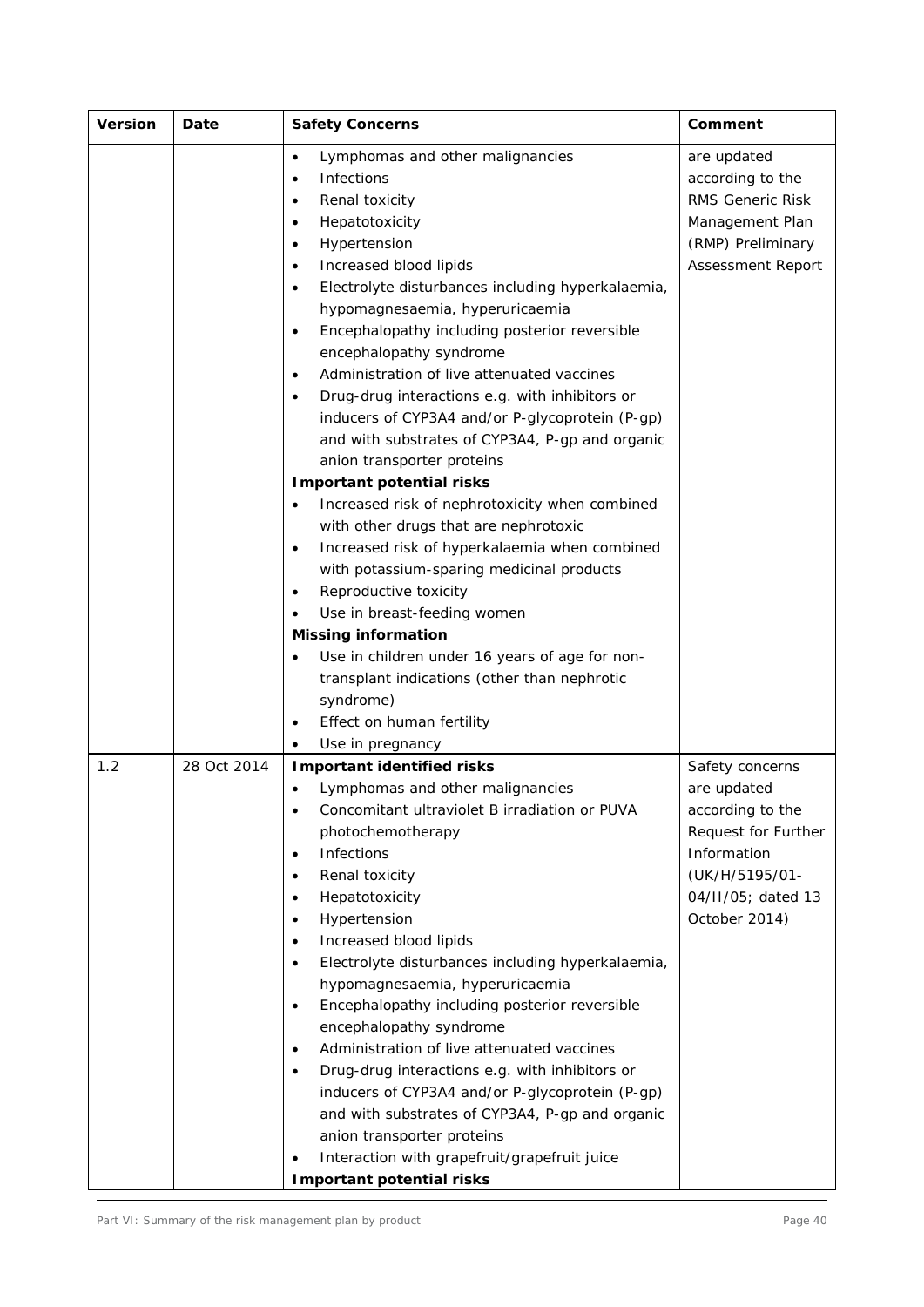| <b>Version</b> | Date        | <b>Safety Concerns</b>                                         | Comment             |
|----------------|-------------|----------------------------------------------------------------|---------------------|
|                |             | Lymphomas and other malignancies<br>$\bullet$                  | are updated         |
|                |             | Infections<br>$\bullet$                                        | according to the    |
|                |             | Renal toxicity<br>$\bullet$                                    | RMS Generic Risk    |
|                |             | Hepatotoxicity<br>$\bullet$                                    | Management Plan     |
|                |             | Hypertension<br>٠                                              | (RMP) Preliminary   |
|                |             | Increased blood lipids                                         | Assessment Report   |
|                |             | Electrolyte disturbances including hyperkalaemia,<br>$\bullet$ |                     |
|                |             | hypomagnesaemia, hyperuricaemia                                |                     |
|                |             | Encephalopathy including posterior reversible<br>$\bullet$     |                     |
|                |             | encephalopathy syndrome                                        |                     |
|                |             | Administration of live attenuated vaccines<br>$\bullet$        |                     |
|                |             | Drug-drug interactions e.g. with inhibitors or                 |                     |
|                |             | inducers of CYP3A4 and/or P-glycoprotein (P-gp)                |                     |
|                |             | and with substrates of CYP3A4, P-gp and organic                |                     |
|                |             | anion transporter proteins                                     |                     |
|                |             | <b>Important potential risks</b>                               |                     |
|                |             | Increased risk of nephrotoxicity when combined<br>$\bullet$    |                     |
|                |             | with other drugs that are nephrotoxic                          |                     |
|                |             | Increased risk of hyperkalaemia when combined<br>$\bullet$     |                     |
|                |             | with potassium-sparing medicinal products                      |                     |
|                |             | Reproductive toxicity<br>٠                                     |                     |
|                |             | Use in breast-feeding women<br>$\bullet$                       |                     |
|                |             | <b>Missing information</b>                                     |                     |
|                |             | Use in children under 16 years of age for non-<br>$\bullet$    |                     |
|                |             | transplant indications (other than nephrotic                   |                     |
|                |             | syndrome)                                                      |                     |
|                |             | Effect on human fertility<br>٠                                 |                     |
|                |             | Use in pregnancy<br>$\bullet$                                  |                     |
| 1.2            | 28 Oct 2014 | <b>Important identified risks</b>                              | Safety concerns     |
|                |             | Lymphomas and other malignancies                               | are updated         |
|                |             | Concomitant ultraviolet B irradiation or PUVA<br>$\bullet$     | according to the    |
|                |             | photochemotherapy                                              | Request for Further |
|                |             | Infections<br>$\bullet$                                        | Information         |
|                |             | Renal toxicity<br>٠                                            | (UK/H/5195/01-      |
|                |             | Hepatotoxicity<br>$\bullet$                                    | 04/II/05; dated 13  |
|                |             | Hypertension<br>$\bullet$                                      | October 2014)       |
|                |             | Increased blood lipids<br>$\bullet$                            |                     |
|                |             | Electrolyte disturbances including hyperkalaemia,<br>$\bullet$ |                     |
|                |             | hypomagnesaemia, hyperuricaemia                                |                     |
|                |             | Encephalopathy including posterior reversible<br>$\bullet$     |                     |
|                |             | encephalopathy syndrome                                        |                     |
|                |             | Administration of live attenuated vaccines<br>٠                |                     |
|                |             | Drug-drug interactions e.g. with inhibitors or<br>$\bullet$    |                     |
|                |             | inducers of CYP3A4 and/or P-glycoprotein (P-gp)                |                     |
|                |             | and with substrates of CYP3A4, P-gp and organic                |                     |
|                |             | anion transporter proteins                                     |                     |
|                |             | Interaction with grapefruit/grapefruit juice                   |                     |
|                |             | <b>Important potential risks</b>                               |                     |